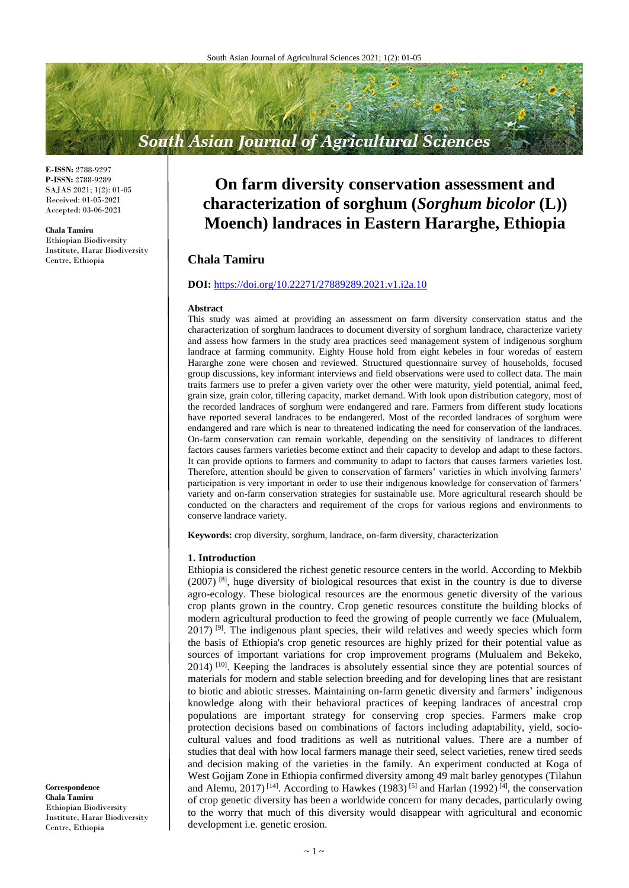# **South Asian Journal of Agricultural Sciences**

**E-ISSN:** 2788-9297 **P-ISSN:** 2788-9289 SAJAS 2021; 1(2): 01-05 Received: 01-05-2021 Accepted: 03-06-2021

**Chala Tamiru**

Ethiopian Biodiversity Institute, Harar Biodiversity Centre, Ethiopia

## **On farm diversity conservation assessment and characterization of sorghum (***Sorghum bicolor* **(L)) Moench) landraces in Eastern Hararghe, Ethiopia**

## **Chala Tamiru**

## **DOI:** <https://doi.org/10.22271/27889289.2021.v1.i2a.10>

#### **Abstract**

This study was aimed at providing an assessment on farm diversity conservation status and the characterization of sorghum landraces to document diversity of sorghum landrace, characterize variety and assess how farmers in the study area practices seed management system of indigenous sorghum landrace at farming community. Eighty House hold from eight kebeles in four woredas of eastern Hararghe zone were chosen and reviewed. Structured questionnaire survey of households, focused group discussions, key informant interviews and field observations were used to collect data. The main traits farmers use to prefer a given variety over the other were maturity, yield potential, animal feed, grain size, grain color, tillering capacity, market demand. With look upon distribution category, most of the recorded landraces of sorghum were endangered and rare. Farmers from different study locations have reported several landraces to be endangered. Most of the recorded landraces of sorghum were endangered and rare which is near to threatened indicating the need for conservation of the landraces. On-farm conservation can remain workable, depending on the sensitivity of landraces to different factors causes farmers varieties become extinct and their capacity to develop and adapt to these factors. It can provide options to farmers and community to adapt to factors that causes farmers varieties lost. Therefore, attention should be given to conservation of farmers' varieties in which involving farmers' participation is very important in order to use their indigenous knowledge for conservation of farmers' variety and on-farm conservation strategies for sustainable use. More agricultural research should be conducted on the characters and requirement of the crops for various regions and environments to conserve landrace variety.

**Keywords:** crop diversity, sorghum, landrace, on-farm diversity, characterization

### **1. Introduction**

Ethiopia is considered the richest genetic resource centers in the world. According to Mekbib (2007) [8], huge diversity of biological resources that exist in the country is due to diverse agro-ecology. These biological resources are the enormous genetic diversity of the various crop plants grown in the country. Crop genetic resources constitute the building blocks of modern agricultural production to feed the growing of people currently we face (Mulualem,  $2017$  [9]. The indigenous plant species, their wild relatives and weedy species which form the basis of Ethiopia's crop genetic resources are highly prized for their potential value as sources of important variations for crop improvement programs (Mulualem and Bekeko,  $2014$ ) [10]. Keeping the landraces is absolutely essential since they are potential sources of materials for modern and stable selection breeding and for developing lines that are resistant to biotic and abiotic stresses. Maintaining on-farm genetic diversity and farmers' indigenous knowledge along with their behavioral practices of keeping landraces of ancestral crop populations are important strategy for conserving crop species. Farmers make crop protection decisions based on combinations of factors including adaptability, yield, sociocultural values and food traditions as well as nutritional values. There are a number of studies that deal with how local farmers manage their seed, select varieties, renew tired seeds and decision making of the varieties in the family. An experiment conducted at Koga of West Gojjam Zone in Ethiopia confirmed diversity among 49 malt barley genotypes (Tilahun and Alemu, 2017)<sup>[14]</sup>. According to Hawkes (1983)<sup>[5]</sup> and Harlan (1992)<sup>[4]</sup>, the conservation of crop genetic diversity has been a worldwide concern for many decades, particularly owing to the worry that much of this diversity would disappear with agricultural and economic development i.e. genetic erosion.

**Correspondence Chala Tamiru**  Ethiopian Biodiversity Institute, Harar Biodiversity Centre, Ethiopia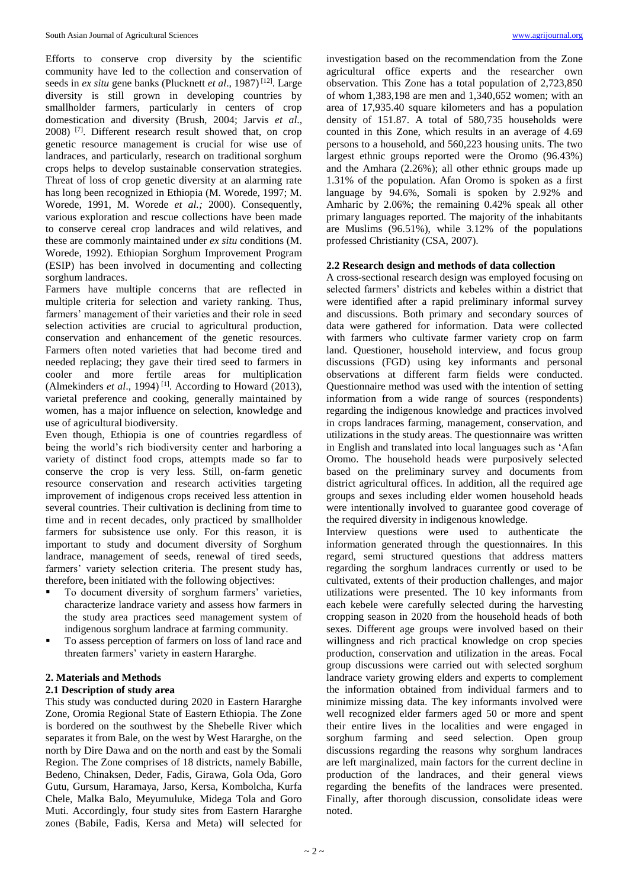Efforts to conserve crop diversity by the scientific community have led to the collection and conservation of seeds in *ex situ* gene banks (Plucknett *et al*., 1987) [12]. Large diversity is still grown in developing countries by smallholder farmers, particularly in centers of crop domestication and diversity (Brush, 2004; Jarvis *et al*., 2008) [7]. Different research result showed that, on crop genetic resource management is crucial for wise use of landraces, and particularly, research on traditional sorghum crops helps to develop sustainable conservation strategies. Threat of loss of crop genetic diversity at an alarming rate has long been recognized in Ethiopia (M. Worede, 1997; M. Worede, 1991, M. Worede *et al.;* 2000). Consequently, various exploration and rescue collections have been made to conserve cereal crop landraces and wild relatives, and these are commonly maintained under *ex situ* conditions (M. Worede, 1992). Ethiopian Sorghum Improvement Program (ESIP) has been involved in documenting and collecting sorghum landraces.

Farmers have multiple concerns that are reflected in multiple criteria for selection and variety ranking. Thus, farmers' management of their varieties and their role in seed selection activities are crucial to agricultural production, conservation and enhancement of the genetic resources. Farmers often noted varieties that had become tired and needed replacing; they gave their tired seed to farmers in cooler and more fertile areas for multiplication (Almekinders  $et$  al., 1994)<sup>[1]</sup>. According to Howard (2013), varietal preference and cooking, generally maintained by women, has a major influence on selection, knowledge and use of agricultural biodiversity.

Even though, Ethiopia is one of countries regardless of being the world's rich biodiversity center and harboring a variety of distinct food crops, attempts made so far to conserve the crop is very less. Still, on-farm genetic resource conservation and research activities targeting improvement of indigenous crops received less attention in several countries. Their cultivation is declining from time to time and in recent decades, only practiced by smallholder farmers for subsistence use only. For this reason, it is important to study and document diversity of Sorghum landrace, management of seeds, renewal of tired seeds, farmers' variety selection criteria. The present study has, therefore**,** been initiated with the following objectives:

- To document diversity of sorghum farmers' varieties, characterize landrace variety and assess how farmers in the study area practices seed management system of indigenous sorghum landrace at farming community.
- To assess perception of farmers on loss of land race and threaten farmers' variety in eastern Hararghe.

## **2. Materials and Methods**

## **2.1 Description of study area**

This study was conducted during 2020 in Eastern Hararghe Zone, Oromia Regional State of Eastern Ethiopia. The Zone is bordered on the southwest by the Shebelle River which separates it from Bale, on the west by West Hararghe, on the north by Dire Dawa and on the north and east by the Somali Region. The Zone comprises of 18 districts, namely Babille, Bedeno, Chinaksen, Deder, Fadis, Girawa, Gola Oda, Goro Gutu, Gursum, Haramaya, Jarso, Kersa, Kombolcha, Kurfa Chele, Malka Balo, Meyumuluke, Midega Tola and Goro Muti. Accordingly, four study sites from Eastern Hararghe zones (Babile, Fadis, Kersa and Meta) will selected for

investigation based on the recommendation from the Zone agricultural office experts and the researcher own observation. This Zone has a total population of 2,723,850 of whom 1,383,198 are men and 1,340,652 women; with an area of 17,935.40 square kilometers and has a population density of 151.87. A total of 580,735 households were counted in this Zone, which results in an average of 4.69 persons to a household, and 560,223 housing units. The two largest ethnic groups reported were the Oromo (96.43%) and the Amhara (2.26%); all other ethnic groups made up 1.31% of the population. Afan Oromo is spoken as a first language by 94.6%, Somali is spoken by 2.92% and Amharic by 2.06%; the remaining 0.42% speak all other primary languages reported. The majority of the inhabitants are Muslims (96.51%), while 3.12% of the populations professed Christianity (CSA, 2007).

## **2.2 Research design and methods of data collection**

A cross-sectional research design was employed focusing on selected farmers' districts and kebeles within a district that were identified after a rapid preliminary informal survey and discussions. Both primary and secondary sources of data were gathered for information. Data were collected with farmers who cultivate farmer variety crop on farm land. Questioner, household interview, and focus group discussions (FGD) using key informants and personal observations at different farm fields were conducted. Questionnaire method was used with the intention of setting information from a wide range of sources (respondents) regarding the indigenous knowledge and practices involved in crops landraces farming, management, conservation, and utilizations in the study areas. The questionnaire was written in English and translated into local languages such as 'Afan Oromo. The household heads were purposively selected based on the preliminary survey and documents from district agricultural offices. In addition, all the required age groups and sexes including elder women household heads were intentionally involved to guarantee good coverage of the required diversity in indigenous knowledge.

Interview questions were used to authenticate the information generated through the questionnaires. In this regard, semi structured questions that address matters regarding the sorghum landraces currently or used to be cultivated, extents of their production challenges, and major utilizations were presented. The 10 key informants from each kebele were carefully selected during the harvesting cropping season in 2020 from the household heads of both sexes. Different age groups were involved based on their willingness and rich practical knowledge on crop species production, conservation and utilization in the areas. Focal group discussions were carried out with selected sorghum landrace variety growing elders and experts to complement the information obtained from individual farmers and to minimize missing data. The key informants involved were well recognized elder farmers aged 50 or more and spent their entire lives in the localities and were engaged in sorghum farming and seed selection. Open group discussions regarding the reasons why sorghum landraces are left marginalized, main factors for the current decline in production of the landraces, and their general views regarding the benefits of the landraces were presented. Finally, after thorough discussion, consolidate ideas were noted.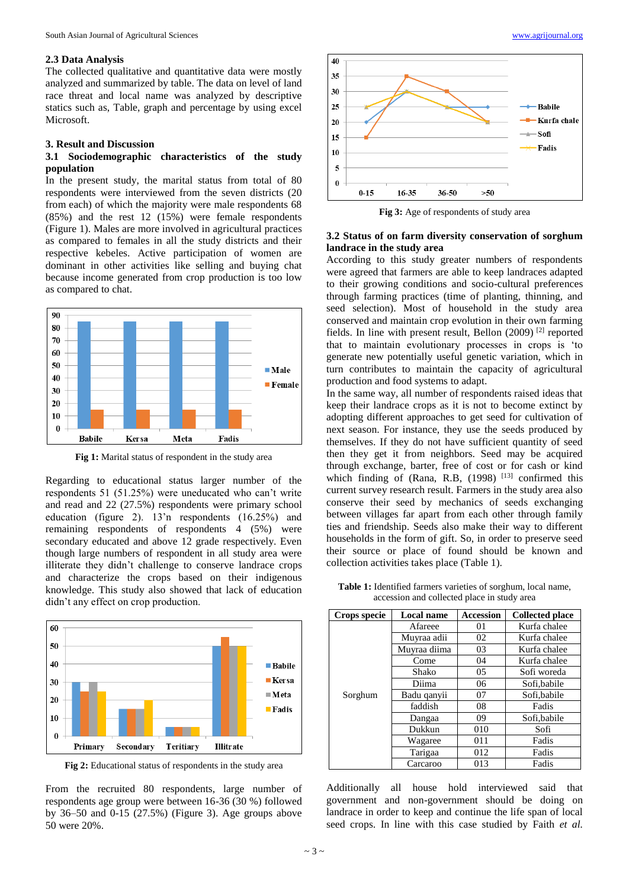#### **2.3 Data Analysis**

The collected qualitative and quantitative data were mostly analyzed and summarized by table. The data on level of land race threat and local name was analyzed by descriptive statics such as, Table, graph and percentage by using excel Microsoft.

### **3. Result and Discussion**

## **3.1 Sociodemographic characteristics of the study population**

In the present study, the marital status from total of 80 respondents were interviewed from the seven districts (20 from each) of which the majority were male respondents 68 (85%) and the rest 12 (15%) were female respondents (Figure 1). Males are more involved in agricultural practices as compared to females in all the study districts and their respective kebeles. Active participation of women are dominant in other activities like selling and buying chat because income generated from crop production is too low as compared to chat.



**Fig 1:** Marital status of respondent in the study area

Regarding to educational status larger number of the respondents 51 (51.25%) were uneducated who can't write and read and 22 (27.5%) respondents were primary school education (figure 2). 13'n respondents (16.25%) and remaining respondents of respondents 4 (5%) were secondary educated and above 12 grade respectively. Even though large numbers of respondent in all study area were illiterate they didn't challenge to conserve landrace crops and characterize the crops based on their indigenous knowledge. This study also showed that lack of education didn't any effect on crop production.



**Fig 2:** Educational status of respondents in the study area

From the recruited 80 respondents, large number of respondents age group were between 16-36 (30 %) followed by 36–50 and 0-15 (27.5%) (Figure 3). Age groups above 50 were 20%.



**Fig 3:** Age of respondents of study area

### **3.2 Status of on farm diversity conservation of sorghum landrace in the study area**

According to this study greater numbers of respondents were agreed that farmers are able to keep landraces adapted to their growing conditions and socio-cultural preferences through farming practices (time of planting, thinning, and seed selection). Most of household in the study area conserved and maintain crop evolution in their own farming fields. In line with present result, Bellon  $(2009)$ <sup>[2]</sup> reported that to maintain evolutionary processes in crops is 'to generate new potentially useful genetic variation, which in turn contributes to maintain the capacity of agricultural production and food systems to adapt.

In the same way, all number of respondents raised ideas that keep their landrace crops as it is not to become extinct by adopting different approaches to get seed for cultivation of next season. For instance, they use the seeds produced by themselves. If they do not have sufficient quantity of seed then they get it from neighbors. Seed may be acquired through exchange, barter, free of cost or for cash or kind which finding of (Rana, R.B,  $(1998)$ <sup>[13]</sup> confirmed this current survey research result. Farmers in the study area also conserve their seed by mechanics of seeds exchanging between villages far apart from each other through family ties and friendship. Seeds also make their way to different households in the form of gift. So, in order to preserve seed their source or place of found should be known and collection activities takes place (Table 1).

**Table 1:** Identified farmers varieties of sorghum, local name, accession and collected place in study area

| Crops specie | Local name   | <b>Accession</b> | <b>Collected place</b> |
|--------------|--------------|------------------|------------------------|
| Sorghum      | Afareee      | 01               | Kurfa chalee           |
|              | Muyraa adii  | 02               | Kurfa chalee           |
|              | Muyraa diima | 03               | Kurfa chalee           |
|              | Come         | 04               | Kurfa chalee           |
|              | Shako        | 05               | Sofi woreda            |
|              | Diima        | 06               | Sofi, babile           |
|              | Badu qanyii  | 07               | Sofi, babile           |
|              | faddish      | 08               | Fadis                  |
|              | Dangaa       | 09               | Sofi, babile           |
|              | Dukkun       | 010              | Sofi                   |
|              | Wagaree      | 011              | Fadis                  |
|              | Tarigaa      | 012              | Fadis                  |
|              | Carcaroo     | 013              | Fadis                  |

Additionally all house hold interviewed said that government and non-government should be doing on landrace in order to keep and continue the life span of local seed crops. In line with this case studied by Faith *et al.*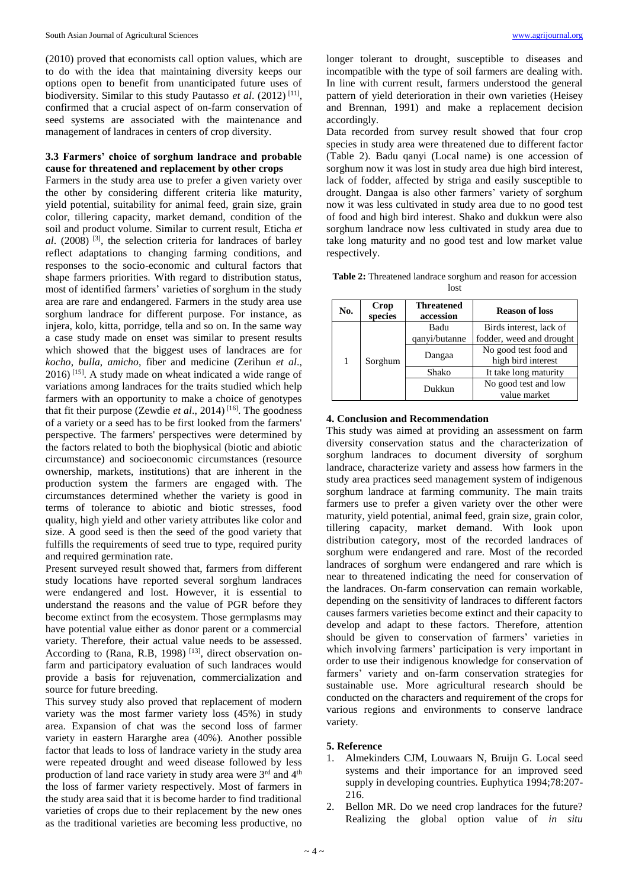(2010) proved that economists call option values, which are to do with the idea that maintaining diversity keeps our options open to benefit from unanticipated future uses of biodiversity. Similar to this study Pautasso *et al*. (2012) [11] , confirmed that a crucial aspect of on-farm conservation of seed systems are associated with the maintenance and management of landraces in centers of crop diversity.

## **3.3 Farmers' choice of sorghum landrace and probable cause for threatened and replacement by other crops**

Farmers in the study area use to prefer a given variety over the other by considering different criteria like maturity, yield potential, suitability for animal feed, grain size, grain color, tillering capacity, market demand, condition of the soil and product volume. Similar to current result, Eticha *et al*. (2008) [3], the selection criteria for landraces of barley reflect adaptations to changing farming conditions, and responses to the socio-economic and cultural factors that shape farmers priorities. With regard to distribution status, most of identified farmers' varieties of sorghum in the study area are rare and endangered. Farmers in the study area use sorghum landrace for different purpose. For instance, as injera, kolo, kitta, porridge, tella and so on. In the same way a case study made on enset was similar to present results which showed that the biggest uses of landraces are for *kocho*, *bulla*, *amicho*, fiber and medicine (Zerihun *et al*.,  $2016$ <sup>[15]</sup>. A study made on wheat indicated a wide range of variations among landraces for the traits studied which help farmers with an opportunity to make a choice of genotypes that fit their purpose (Zewdie *et al*., 2014) [16] . The goodness of a variety or a seed has to be first looked from the farmers' perspective. The farmers' perspectives were determined by the factors related to both the biophysical (biotic and abiotic circumstance) and socioeconomic circumstances (resource ownership, markets, institutions) that are inherent in the production system the farmers are engaged with. The circumstances determined whether the variety is good in terms of tolerance to abiotic and biotic stresses, food quality, high yield and other variety attributes like color and size. A good seed is then the seed of the good variety that fulfills the requirements of seed true to type, required purity and required germination rate.

Present surveyed result showed that, farmers from different study locations have reported several sorghum landraces were endangered and lost. However, it is essential to understand the reasons and the value of PGR before they become extinct from the ecosystem. Those germplasms may have potential value either as donor parent or a commercial variety. Therefore, their actual value needs to be assessed. According to (Rana, R.B, 1998)<sup>[13]</sup>, direct observation onfarm and participatory evaluation of such landraces would provide a basis for rejuvenation, commercialization and source for future breeding.

This survey study also proved that replacement of modern variety was the most farmer variety loss (45%) in study area. Expansion of chat was the second loss of farmer variety in eastern Hararghe area (40%). Another possible factor that leads to loss of landrace variety in the study area were repeated drought and weed disease followed by less production of land race variety in study area were 3rd and 4th the loss of farmer variety respectively. Most of farmers in the study area said that it is become harder to find traditional varieties of crops due to their replacement by the new ones as the traditional varieties are becoming less productive, no

longer tolerant to drought, susceptible to diseases and incompatible with the type of soil farmers are dealing with. In line with current result, farmers understood the general pattern of yield deterioration in their own varieties (Heisey and Brennan, 1991) and make a replacement decision accordingly.

Data recorded from survey result showed that four crop species in study area were threatened due to different factor (Table 2). Badu qanyi (Local name) is one accession of sorghum now it was lost in study area due high bird interest, lack of fodder, affected by striga and easily susceptible to drought. Dangaa is also other farmers' variety of sorghum now it was less cultivated in study area due to no good test of food and high bird interest. Shako and dukkun were also sorghum landrace now less cultivated in study area due to take long maturity and no good test and low market value respectively.

**Table 2:** Threatened landrace sorghum and reason for accession lost

| No.          | Crop<br>species | <b>Threatened</b><br>accession | <b>Reason of loss</b>                       |
|--------------|-----------------|--------------------------------|---------------------------------------------|
| Sorghum<br>1 |                 | Badu                           | Birds interest, lack of                     |
|              | qanyi/butanne   | fodder, weed and drought       |                                             |
|              |                 | Dangaa                         | No good test food and<br>high bird interest |
|              |                 | Shako                          | It take long maturity                       |
|              |                 | Dukkun                         | No good test and low                        |
|              |                 |                                | value market                                |

#### **4. Conclusion and Recommendation**

This study was aimed at providing an assessment on farm diversity conservation status and the characterization of sorghum landraces to document diversity of sorghum landrace, characterize variety and assess how farmers in the study area practices seed management system of indigenous sorghum landrace at farming community. The main traits farmers use to prefer a given variety over the other were maturity, yield potential, animal feed, grain size, grain color, tillering capacity, market demand. With look upon distribution category, most of the recorded landraces of sorghum were endangered and rare. Most of the recorded landraces of sorghum were endangered and rare which is near to threatened indicating the need for conservation of the landraces. On-farm conservation can remain workable, depending on the sensitivity of landraces to different factors causes farmers varieties become extinct and their capacity to develop and adapt to these factors. Therefore, attention should be given to conservation of farmers' varieties in which involving farmers' participation is very important in order to use their indigenous knowledge for conservation of farmers' variety and on-farm conservation strategies for sustainable use. More agricultural research should be conducted on the characters and requirement of the crops for various regions and environments to conserve landrace variety.

### **5. Reference**

- 1. Almekinders CJM, Louwaars N, Bruijn G. Local seed systems and their importance for an improved seed supply in developing countries. Euphytica 1994;78:207- 216.
- 2. Bellon MR. Do we need crop landraces for the future? Realizing the global option value of *in situ*